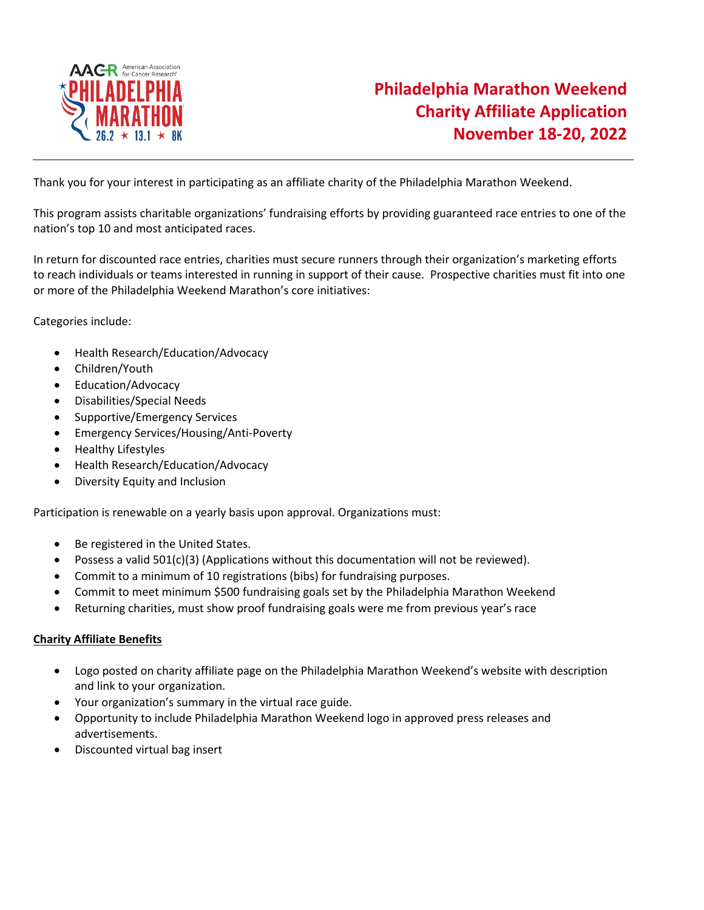

Thank you for your interest in participating as an affiliate charity of the Philadelphia Marathon Weekend.

This program assists charitable organizations' fundraising efforts by providing guaranteed race entries to one of the nation's top 10 and most anticipated races.

In return for discounted race entries, charities must secure runners through their organization's marketing efforts to reach individuals or teams interested in running in support of their cause. Prospective charities must fit into one or more of the Philadelphia Weekend Marathon's core initiatives:

Categories include:

- Health Research/Education/Advocacy
- Children/Youth
- Education/Advocacy
- Disabilities/Special Needs
- Supportive/Emergency Services
- Emergency Services/Housing/Anti-Poverty
- Healthy Lifestyles
- Health Research/Education/Advocacy
- Diversity Equity and Inclusion

Participation is renewable on a yearly basis upon approval. Organizations must:

- Be registered in the United States.
- Possess a valid  $501(c)(3)$  (Applications without this documentation will not be reviewed).
- Commit to a minimum of 10 registrations (bibs) for fundraising purposes.
- Commit to meet minimum \$500 fundraising goals set by the Philadelphia Marathon Weekend
- Returning charities, must show proof fundraising goals were me from previous year's race

## **Charity Affiliate Benefits**

- Logo posted on charity affiliate page on the Philadelphia Marathon Weekend's website with description and link to your organization.
- Your organization's summary in the virtual race guide.
- Opportunity to include Philadelphia Marathon Weekend logo in approved press releases and advertisements.
- Discounted virtual bag insert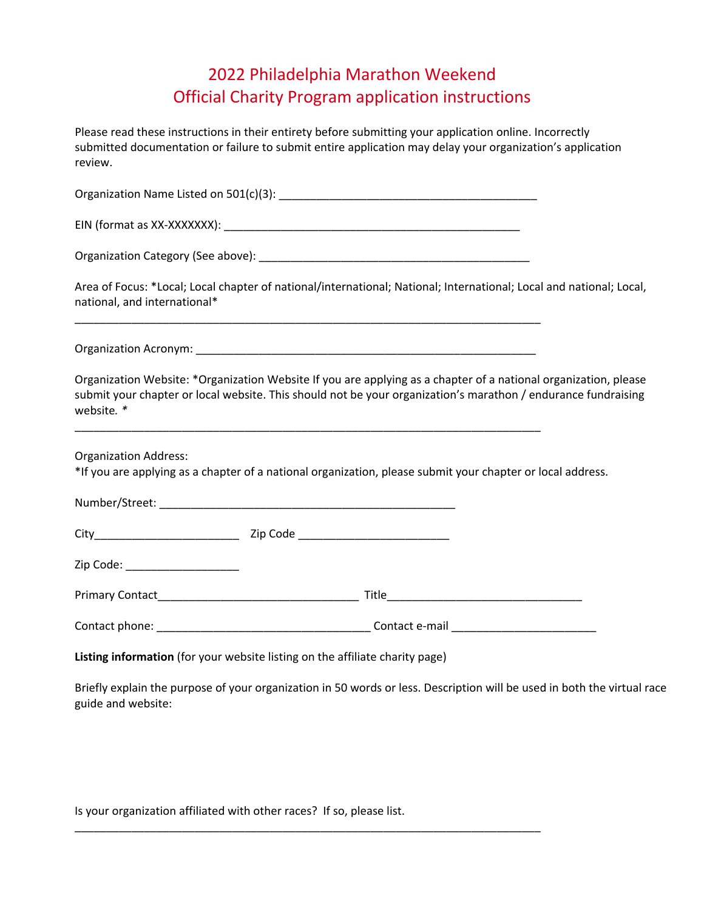## 2022 Philadelphia Marathon Weekend Official Charity Program application instructions

Please read these instructions in their entirety before submitting your application online. Incorrectly submitted documentation or failure to submit entire application may delay your organization's application review.

Organization Name Listed on 501(c)(3): \_\_\_\_\_\_\_\_\_\_\_\_\_\_\_\_\_\_\_\_\_\_\_\_\_\_\_\_\_\_\_\_\_\_\_\_\_\_\_\_\_

EIN (format as XX-XXXXXXX): \_\_\_\_\_\_\_\_\_\_\_\_\_\_\_\_\_\_\_\_\_\_\_\_\_\_\_\_\_\_\_\_\_\_\_\_\_\_\_\_\_\_\_\_\_\_\_

Organization Category (See above): \_\_\_\_\_\_\_\_\_\_\_\_\_\_\_\_\_\_\_\_\_\_\_\_\_\_\_\_\_\_\_\_\_\_\_\_\_\_\_\_\_\_\_

Area of Focus: \*Local; Local chapter of national/international; National; International; Local and national; Local, national, and international\*

Organization Acronym: **with a set of the set of the set of the set of the set of the set of the set of the set o** 

\_\_\_\_\_\_\_\_\_\_\_\_\_\_\_\_\_\_\_\_\_\_\_\_\_\_\_\_\_\_\_\_\_\_\_\_\_\_\_\_\_\_\_\_\_\_\_\_\_\_\_\_\_\_\_\_\_\_\_\_\_\_\_\_\_\_\_\_\_\_\_\_\_\_

\_\_\_\_\_\_\_\_\_\_\_\_\_\_\_\_\_\_\_\_\_\_\_\_\_\_\_\_\_\_\_\_\_\_\_\_\_\_\_\_\_\_\_\_\_\_\_\_\_\_\_\_\_\_\_\_\_\_\_\_\_\_\_\_\_\_\_\_\_\_\_\_\_\_

Organization Website: \*Organization Website If you are applying as a chapter of a national organization, please submit your chapter or local website. This should not be your organization's marathon / endurance fundraising website*. \** 

Organization Address:

\*If you are applying as a chapter of a national organization, please submit your chapter or local address.

|                                        | Zip Code ______________________________ |  |
|----------------------------------------|-----------------------------------------|--|
| Zip Code: ______________________       |                                         |  |
|                                        |                                         |  |
| Contact phone: National Contact phone: | Contact e-mail                          |  |

**Listing information** (for your website listing on the affiliate charity page)

Briefly explain the purpose of your organization in 50 words or less. Description will be used in both the virtual race guide and website:

Is your organization affiliated with other races? If so, please list.

\_\_\_\_\_\_\_\_\_\_\_\_\_\_\_\_\_\_\_\_\_\_\_\_\_\_\_\_\_\_\_\_\_\_\_\_\_\_\_\_\_\_\_\_\_\_\_\_\_\_\_\_\_\_\_\_\_\_\_\_\_\_\_\_\_\_\_\_\_\_\_\_\_\_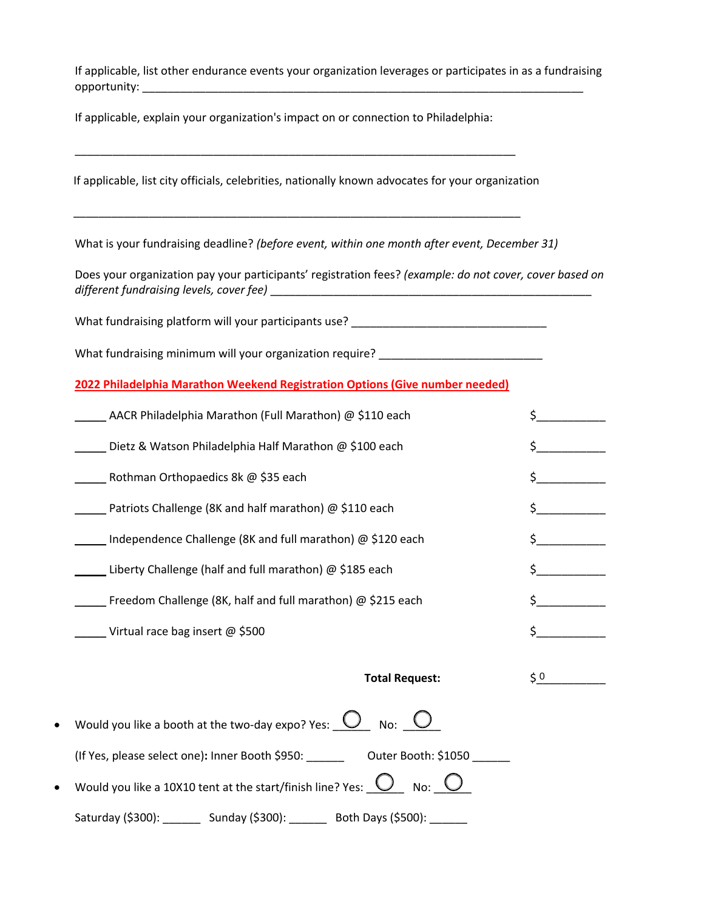If applicable, list other endurance events your organization leverages or participates in as a fundraising opportunity: \_\_\_\_\_\_\_\_\_\_\_\_\_\_\_\_\_\_\_\_\_\_\_\_\_\_\_\_\_\_\_\_\_\_\_\_\_\_\_\_\_\_\_\_\_\_\_\_\_\_\_\_\_\_\_\_\_\_\_\_\_\_\_\_\_\_\_\_\_\_

If applicable, explain your organization's impact on or connection to Philadelphia:

| What is your fundraising deadline? (before event, within one month after event, December 31)            |           |  |
|---------------------------------------------------------------------------------------------------------|-----------|--|
| Does your organization pay your participants' registration fees? (example: do not cover, cover based on |           |  |
| What fundraising platform will your participants use? ___________________________                       |           |  |
| What fundraising minimum will your organization require? _______________________                        |           |  |
| 2022 Philadelphia Marathon Weekend Registration Options (Give number needed)                            |           |  |
| AACR Philadelphia Marathon (Full Marathon) @ \$110 each                                                 |           |  |
| Dietz & Watson Philadelphia Half Marathon @ \$100 each                                                  |           |  |
| Rothman Orthopaedics 8k @ \$35 each                                                                     |           |  |
| Patriots Challenge (8K and half marathon) @ \$110 each                                                  | $\sharp$  |  |
| Independence Challenge (8K and full marathon) @ \$120 each                                              | \$        |  |
| Liberty Challenge (half and full marathon) @ \$185 each                                                 | \$.       |  |
| Freedom Challenge (8K, half and full marathon) @ \$215 each                                             | \$.       |  |
| <b>Virtual race bag insert @ \$500</b>                                                                  | Ś.        |  |
| <b>Total Request:</b>                                                                                   | $\zeta$ 0 |  |
| Would you like a booth at the two-day expo? Yes: $\bigcirc$ No: $\bigcirc$                              |           |  |
| (If Yes, please select one): Inner Booth \$950: Outer Booth: \$1050                                     |           |  |